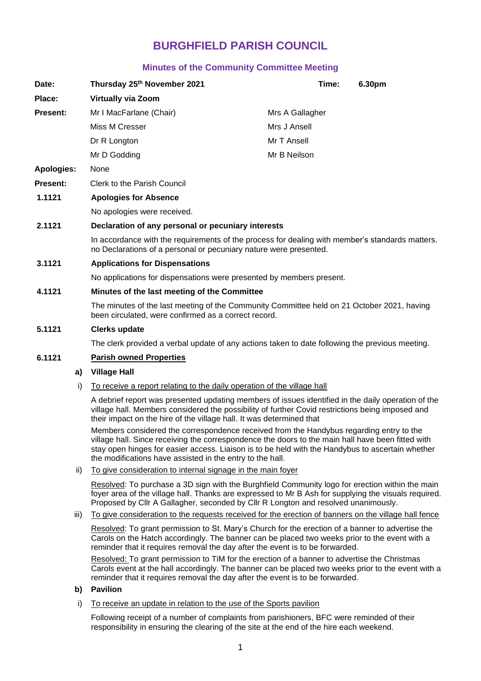# **BURGHFIELD PARISH COUNCIL**

# **Minutes of the Community Committee Meeting**

| Date:             | Thursday 25th November 2021                                                                                                                                          |                 | Time: | 6.30pm |
|-------------------|----------------------------------------------------------------------------------------------------------------------------------------------------------------------|-----------------|-------|--------|
| Place:            | <b>Virtually via Zoom</b>                                                                                                                                            |                 |       |        |
| <b>Present:</b>   | Mr I MacFarlane (Chair)                                                                                                                                              | Mrs A Gallagher |       |        |
|                   | Miss M Cresser                                                                                                                                                       | Mrs J Ansell    |       |        |
|                   | Dr R Longton                                                                                                                                                         | Mr T Ansell     |       |        |
|                   | Mr D Godding                                                                                                                                                         | Mr B Neilson    |       |        |
| <b>Apologies:</b> | None                                                                                                                                                                 |                 |       |        |
| <b>Present:</b>   | <b>Clerk to the Parish Council</b>                                                                                                                                   |                 |       |        |
| 1.1121            | <b>Apologies for Absence</b>                                                                                                                                         |                 |       |        |
|                   | No apologies were received.                                                                                                                                          |                 |       |        |
| 2.1121            | Declaration of any personal or pecuniary interests                                                                                                                   |                 |       |        |
|                   | In accordance with the requirements of the process for dealing with member's standards matters.<br>no Declarations of a personal or pecuniary nature were presented. |                 |       |        |
| 3.1121            | <b>Applications for Dispensations</b>                                                                                                                                |                 |       |        |
|                   | No applications for dispensations were presented by members present.                                                                                                 |                 |       |        |
| 4.1121            | Minutes of the last meeting of the Committee                                                                                                                         |                 |       |        |
|                   | The minutes of the last meeting of the Community Committee held on 21 October 2021, having<br>been circulated, were confirmed as a correct record.                   |                 |       |        |

## **5.1121 Clerks update**

The clerk provided a verbal update of any actions taken to date following the previous meeting.

# **6.1121 Parish owned Properties**

## **a) Village Hall**

i) To receive a report relating to the daily operation of the village hall

A debrief report was presented updating members of issues identified in the daily operation of the village hall. Members considered the possibility of further Covid restrictions being imposed and their impact on the hire of the village hall. It was determined that

Members considered the correspondence received from the Handybus regarding entry to the village hall. Since receiving the correspondence the doors to the main hall have been fitted with stay open hinges for easier access. Liaison is to be held with the Handybus to ascertain whether the modifications have assisted in the entry to the hall.

ii) To give consideration to internal signage in the main foyer

Resolved: To purchase a 3D sign with the Burghfield Community logo for erection within the main foyer area of the village hall. Thanks are expressed to Mr B Ash for supplying the visuals required. Proposed by Cllr A Gallagher, seconded by Cllr R Longton and resolved unanimously.

iii) To give consideration to the requests received for the erection of banners on the village hall fence

Resolved: To grant permission to St. Mary's Church for the erection of a banner to advertise the Carols on the Hatch accordingly. The banner can be placed two weeks prior to the event with a reminder that it requires removal the day after the event is to be forwarded.

Resolved: To grant permission to TiM for the erection of a banner to advertise the Christmas Carols event at the hall accordingly. The banner can be placed two weeks prior to the event with a reminder that it requires removal the day after the event is to be forwarded.

## **b) Pavilion**

i) To receive an update in relation to the use of the Sports pavilion

Following receipt of a number of complaints from parishioners, BFC were reminded of their responsibility in ensuring the clearing of the site at the end of the hire each weekend.